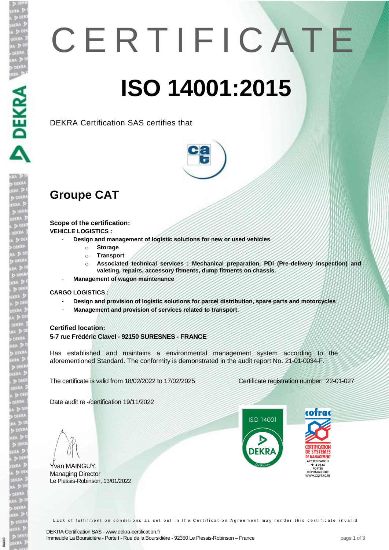# C E R T I F I C A T E **ISO 14001:2015**

DEKRA Certification SAS certifies that



## **Groupe CAT**

**Scope of the certification: VEHICLE LOGISTICS :** 

- **Design and management of logistic solutions for new or used vehicles**
	- o **Storage**
		- o **Transport**
		- o **Associated technical services : Mechanical preparation, PDI (Pre-delivery inspection) and valeting, repairs, accessory fitments, dump fitments on chassis.**
- **Management of wagon maintenance**

#### **CARGO LOGISTICS :**

- **Design and provision of logistic solutions for parcel distribution, spare parts and motorcycles**
- **Management and provision of services related to transport**.

#### **Certified location:**

**5-7 rue Frédéric Clavel - 92150 SURESNES - FRANCE**

Has established and maintains a environmental management system according to the aforementioned Standard. The conformity is demonstrated in the audit report No. 21-01-0034-F.

The certificate is valid from 18/02/2022 to 17/02/2025 Certificate registration number: 22-01-027

Date audit re -/certification 19/11/2022

Yvan MAINGUY, Managing Director Le Plessis-Robinson, 13/01/2022

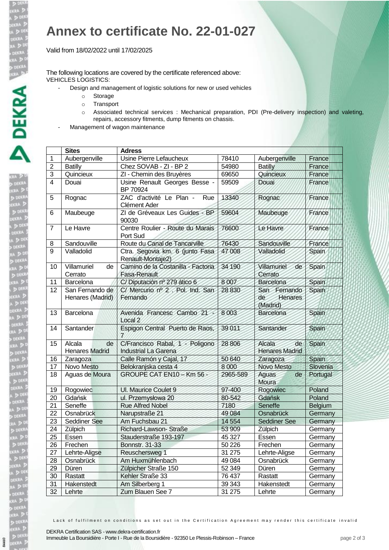**DO**<br>JEKRI<br>DEKRI<br>A D

### **Annex to certificate No. 22-01-027**

Valid from 18/02/2022 until 17/02/2025

The following locations are covered by the certificate referenced above: VEHICLES LOGISTICS:

- Design and management of logistic solutions for new or used vehicles
	- o Storage
	- o Transport
	- o Associated technical services : Mechanical preparation, PDI (Pre-delivery inspection) and valeting, repairs, accessory fitments, dump fitments on chassis.
- Management of wagon maintenance

|                | <b>Sites</b>                          | <b>Adress</b>                                                  |          |                                           |              |
|----------------|---------------------------------------|----------------------------------------------------------------|----------|-------------------------------------------|--------------|
| 1              | Aubergenville                         | Usine Pierre Lefaucheux                                        | 78410    | Aubergenville                             | France       |
| $\overline{2}$ | <b>Batilly</b>                        | Chez SOVAB - ZI - BP 2                                         | 54980    | <b>Batilly</b>                            | France       |
| $\overline{3}$ | Quincieux                             | ZI - Chemin des Bruyères                                       | 69650    | Quincieux                                 | France       |
| $\overline{4}$ | Douai                                 | Usine Renault Georges Besse -<br>BP 70924                      | 59509    | Douai                                     | France       |
| 5              | Rognac                                | ZAC d'activité Le Plan -<br>Rue<br>Clément Ader                | 13340    | Rognac                                    | France       |
| 6              | Maubeuge                              | ZI de Gréveaux Les Guides - BP<br>90030                        | 59604    | Maubeuge                                  | France       |
| $\overline{7}$ | Le Havre                              | Centre Roulier - Route du Marais<br>Port Sud                   | 76600    | Le Havre                                  | France       |
| 8              | Sandouville                           | Route du Canal de Tancarville                                  | 76430    | Sandouville                               | France       |
| 9              | Valladolid                            | Ctra. Segovia km. 6 (junto Fasa<br>Renault-Montaje2)           | 47 008   | Valladolid                                | Spain        |
| 10             | Villamuriel<br>de<br>Cerrato          | Camino de la Costanilla - Factoria<br><b>Fasa-Renault</b>      | 34 190   | Villamuriel<br>de<br>Cerrato              | Spain        |
| 11             | Barcelona                             | C/ Diputación nº 279 ático 6                                   | 8007     | <b>Barcelona</b>                          | Spain        |
| 12             | San Fernando de<br>Henares (Madrid)   | C/ Mercurio nº 2. Pol. Ind. San<br>Fernando                    | 28 830   | San Fernando<br>Henares<br>de<br>(Madrid) | Spain        |
| 13             | Barcelona                             | Avenida Francesc Cambo 21<br>Local <sub>2</sub>                | 8003     | <b>Barcelona</b>                          | Spain        |
| 14             | Santander                             | Espigon Central Puerto de Raos,<br>7                           | 39011    | Santander                                 | Spain        |
| 15             | Alcala<br>de<br><b>Henares Madrid</b> | C/Francisco Rabal, 1 - Poligono<br><b>Industrial La Garena</b> | 28 806   | Alcala<br>de<br><b>Henares Madrid</b>     | <b>Spain</b> |
| 16             | Zaragoza                              | Calle Ramón y Cajal, 17                                        | 50 640   | Zaragoza                                  | Spain        |
| 17             | Novo Mesto                            | Belokranjska cesta 4                                           | 8 0 0 0  | Novo Mesto                                | Slovenia     |
| 18             | Aguas de Moura                        | GROUPE CAT EN10 - Km 56 -                                      | 2965-589 | Aguas<br>de<br>Moura                      | Portugal     |
| 19             | Rogowiec                              | UI. Maurice Coulet 9                                           | 97-400   | Rogowiec                                  | Poland       |
| 20             | Gdańsk                                | ul. Przemysłowa 20                                             | 80-542   | Gdańsk                                    | Poland       |
| 21             | Seneffe                               | <b>Rue Alfred Nobel</b>                                        | 7180     | Seneffe                                   | Belgium      |
| 22             | Osnabrück                             | Narupstraße 21                                                 | 49 0 84  | Osnabrück                                 | Germany      |
| 23             | Seddiner See                          | Am Fuchsbau 21                                                 | 14 5 54  | <b>Seddiner See</b>                       | Germany      |
| 24             | Zülpich                               | Richard-Lawson-Straße                                          | 53 909   | Zülpich                                   | Germany      |
| 25             | Essen                                 | Stauderstraße 193-197                                          | 45 327   | Essen                                     | Germany      |
| 26             | Frechen                               | <b>Bonnstr. 31-33</b>                                          | 50 226   | Frechen                                   | Germany      |
| 27             | Lehrte-Aligse                         | Reuschersweg 1                                                 | 31 275   | Lehrte-Aligse                             | Germany      |
| 28             | Osnabrück                             | Am Huxmühlenbach                                               | 49 0 84  | Osnabrück                                 | Germany      |
| 29             | Düren                                 | Zülpicher Straße 150                                           | 52 349   | Düren                                     | Germany      |
| 30             | Rastatt                               | Kehler Straße 33                                               | 76 437   | Rastatt                                   | Germany      |
| 31             | Hakenstedt                            | Am Silberberg 1                                                | 39 34 3  | Hakenstedt                                | Germany      |
| 32             | Lehrte                                | Zum Blauen See 7                                               | 31 275   | Lehrte                                    | Germany      |

Lack of fulfilment on conditions as set out in the Certification Agreement may render this certificate invalid

64460